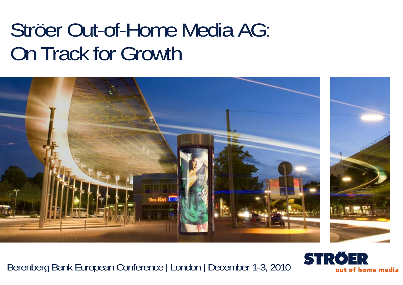# Ströer Out-of-Home Media AG: On Track for Growth



Berenberg Bank European Conference | London | December 1-3, 2010

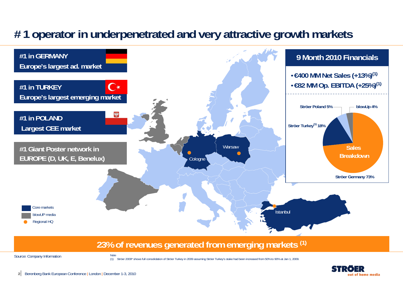### **# 1 operator in underpenetrated and very attractive growth markets**



#### **23% of revenues generated from emerging markets (1)**

Source: Company Information

(1) Ströer 2009\* shows full consolidation of Ströer Turkey in 2009 assuming Ströer Turkey's stake had been increased from 50% to 90% at Jan 1, 2009.



Note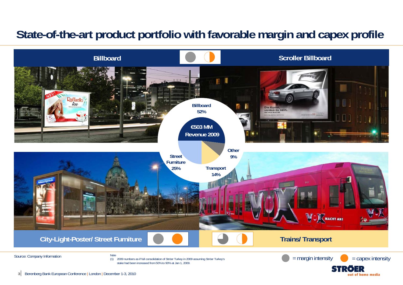### **State-of-the-art product portfolio with favorable margin and capex profile**



out of home media

**3**Berenberg Bank European Conference | London | December 1-3, 2010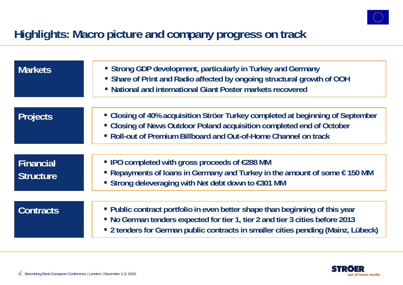

### **Highlights: Macro picture and company progress on track**

| <b>Markets</b>                       | • Strong GDP development, particularly in Turkey and Germany<br>• Share of Print and Radio affected by ongoing structural growth of OOH<br>• National and international Giant Poster markets recovered                                             |
|--------------------------------------|----------------------------------------------------------------------------------------------------------------------------------------------------------------------------------------------------------------------------------------------------|
| <b>Projects</b>                      | • Closing of 40% acquisition Ströer Turkey completed at beginning of September<br>• Closing of News Outdoor Poland acquisition completed end of October<br>• Roll-out of Premium Billboard and Out-of-Home Channel on track                        |
| <b>Financial</b><br><b>Structure</b> | ■ IPO completed with gross proceeds of $€288$ MM<br>Repayments of loans in Germany and Turkey in the amount of some $\epsilon$ 150 MM<br>■ Strong deleveraging with Net debt down to €301 MM                                                       |
| <b>Contracts</b>                     | • Public contract portfolio in even better shape than beginning of this year<br>• No German tenders expected for tier 1, tier 2 and tier 3 cities before 2013<br>• 2 tenders for German public contracts in smaller cities pending (Mainz, Lübeck) |

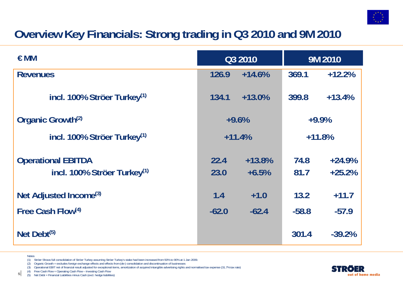

### **Overview Key Financials: Strong trading in Q3 2010 and 9M 2010**

| $\in$ MM                                                             | Q3 2010      |                     | 9M 2010      |                      |
|----------------------------------------------------------------------|--------------|---------------------|--------------|----------------------|
| <b>Revenues</b>                                                      | 126.9        | $+14.6%$            | 369.1        | $+12.2%$             |
| incl. 100% Ströer Turkey <sup>(1)</sup>                              | 134.1        | $+13.0%$            | 399.8        | $+13.4%$             |
| Organic Growth <sup>(2)</sup>                                        | $+9.6%$      |                     | $+9.9%$      |                      |
| incl. 100% Ströer Turkey <sup>(1)</sup>                              | $+11.4%$     |                     | $+11.8%$     |                      |
| <b>Operational EBITDA</b><br>incl. 100% Ströer Turkey <sup>(1)</sup> | 22.4<br>23.0 | $+13.8%$<br>$+6.5%$ | 74.8<br>81.7 | $+24.9%$<br>$+25.2%$ |
| Net Adjusted Income <sup>(3)</sup>                                   | 1.4          | $+1.0$              | 13.2         | $+11.7$              |
| Free Cash Flow(4)                                                    | $-62.0$      | $-62.4$             | $-58.8$      | $-57.9$              |
| Net Debt $(5)$                                                       |              |                     | 301.4        | $-39.2%$             |

- Notes
- (1) Ströer Shows full consolidation of Ströer Turkey assuming Ströer Turkey's stake had been increased from 50% to 90% at 1 Jan 2009.
- (2) Organic Growth = excludes foreign exchange effects and effects from (de-) consolidation and discontinuation of businesses
- (3) Operational EBIT net of financial result adjusted for exceptional items, amortization of acquired intangible advertising rights and normalised tax expense (31.7% tax rate)
- $(4)$  Free Cash Flow = Operating Cash Flow Investing Cash Flow
- **5** $5\vert$  (5) Net Debt = Financial Liabilities minus Cash (excl. hedge liabilities)

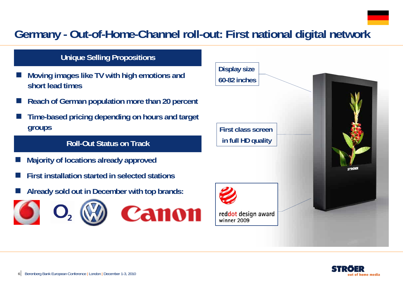### **Germany - Out-of-Home-Channel roll-out: First national digital network**

#### **Unique Selling Propositions**

- F. **Moving images like TV with high emotions and short lead times**
- r. **Reach of German population more than 20 percent**
- F. **Time-based pricing depending on hours and target groups**

#### **Roll-Out Status on Track**

- $\overline{\phantom{a}}$ **Majority of locations already approved**
- $\overline{\phantom{a}}$ **First installation started in selected stations**
- $\overline{\phantom{a}}$ **Already sold out in December with top brands:**





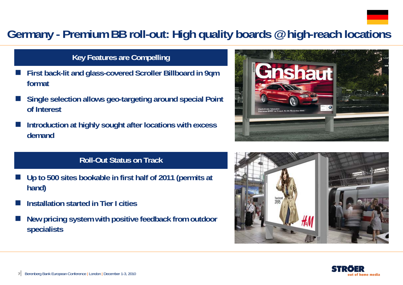

### **Germany - Premium BB roll-out: High quality boards @ high-reach locations**

#### **Key Features are Compelling**

- F. **First back-lit and glass-covered Scroller Billboard in 9qm format**
- F. **Single selection allows geo-targeting around special Point of Interest**
- F. **Introduction at highly sought after locations with excess demand**

### **Roll-Out Status on Track**

- $\overline{\phantom{a}}$  **Up to 500 sites bookable in first half of 2011 (permits at hand)**
- F **Installation started in Tier I cities**
- $\overline{\phantom{a}}$  **New pricing system with positive feedback from outdoor specialists**





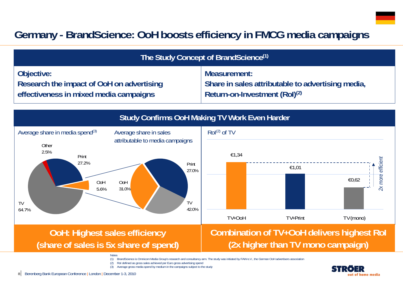### **Germany - BrandScience: OoH boosts efficiency in FMCG media campaigns**

| The Study Concept of BrandScience <sup>(1)</sup>                                                                                                                                |                                                                                                                                                 |  |  |  |  |  |
|---------------------------------------------------------------------------------------------------------------------------------------------------------------------------------|-------------------------------------------------------------------------------------------------------------------------------------------------|--|--|--|--|--|
| Objective:<br>Research the impact of OoH on advertising<br>effectiveness in mixed media campaigns                                                                               | Measurement:<br>Share in sales attributable to advertising media,<br>Return-on-Investment (RoI) <sup>(2)</sup>                                  |  |  |  |  |  |
| <b>Study Confirms OoH Making TV Work Even Harder</b>                                                                                                                            |                                                                                                                                                 |  |  |  |  |  |
| Average share in media spend <sup>(3)</sup><br>Average share in sales<br>attributable to media campaigns<br>Other<br>2.5%<br>Print<br>27.2%<br>Print<br>27.0%                   | Rol <sup>(2)</sup> of TV<br>€1,34<br>€1,01                                                                                                      |  |  |  |  |  |
| OoH<br>OoH<br>5.6%<br>31.0%<br><b>TV</b><br><b>TV</b><br>42.0%<br>64.7%                                                                                                         | 2x more efficient<br>€0,62                                                                                                                      |  |  |  |  |  |
|                                                                                                                                                                                 | TV+OoH<br>TV+Print<br>TV (mono)                                                                                                                 |  |  |  |  |  |
| <b>OoH: Highest sales efficiency</b><br>(share of sales is 5x share of spend)                                                                                                   | <b>Combination of TV+OoH delivers highest Rol</b><br>(2x higher than TV mono campaign)                                                          |  |  |  |  |  |
| <b>Notes</b><br>Rol defined as gross sales achieved per Euro gross advertising spend<br>(2)<br>Average gross media spend by medium in the campaigns subject to the study<br>(3) | BrandScience is Omnicom Media Group's research and consultancy arm. The study was initiated by FAW e.V., the German OoH advertisers association |  |  |  |  |  |

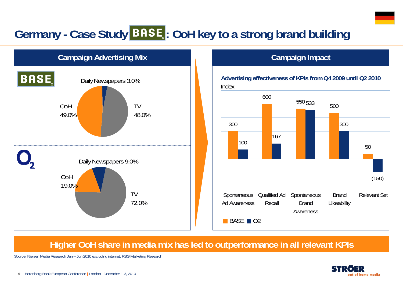## Germany - Case Study **BASE**: OoH key to a strong brand building



#### **Campaign Impact**



### **Higher OoH share in media mix has led to outperformance in all relevant KPIs**

Source: Nielsen Media Research Jan – Jun 2010 excluding internet; RSG Marketing Research

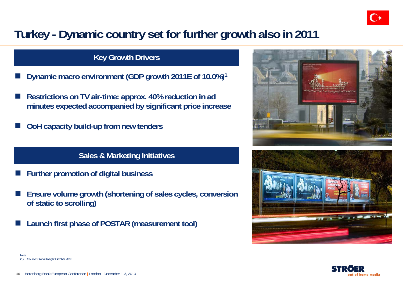

### **Turkey - Dynamic country set for further growth also in 2011**

#### **Key Growth Drivers**

- $\overline{\phantom{a}}$ **Dynamic macro environment (GDP growth 2011E of 10.0%)1**
- $\overline{\phantom{a}}$  **Restrictions on TV air-time: approx. 40% reduction in ad minutes expected accompanied by significant price increase**
- $\overline{\phantom{a}}$ **OoH capacity build-up from new tenders**

#### **Sales & Marketing Initiatives**

- F. **Further promotion of digital business**
- r. **Ensure volume growth (shortening of sales cycles, conversion of static to scrolling)**
- F. **Launch first phase of POSTAR (measurement tool)**







Note(1) Source: Global Insight October 2010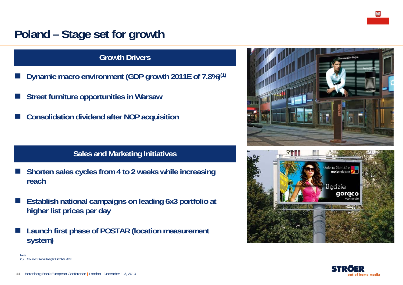### **Poland – Stage set for growth**

#### **Growth Drivers**

- F. **Dynamic macro environment (GDP growth 2011E of 7.8%)(1)**
- F. **Street furniture opportunities in Warsaw**
- F. **Consolidation dividend after NOP acquisition**

#### **Sales and Marketing Initiatives**

- $\overline{\phantom{a}}$  **Shorten sales cycles from 4 to 2 weeks while increasing reach**
- $\overline{\phantom{a}}$  **Establish national campaigns on leading 6x3 portfolio at higher list prices per day**
- $\overline{\phantom{a}}$  **Launch first phase of POSTAR (location measurement system)**





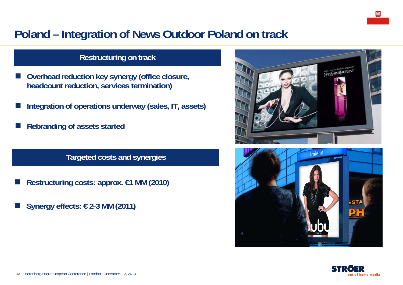### **Poland – Integration of News Outdoor Poland on track**

#### **Restructuring on track**

- F **Overhead reduction key synergy (office closure, headcount reduction, services termination)**
- **Integration of operations underway (sales, IT, assets)**
- **Rebranding of assets started**

**Targeted costs and synergies**

- Π **Restructuring costs: approx. €1 MM (2010)**
- Π **Synergy effects: € 2-3 MM (2011)**





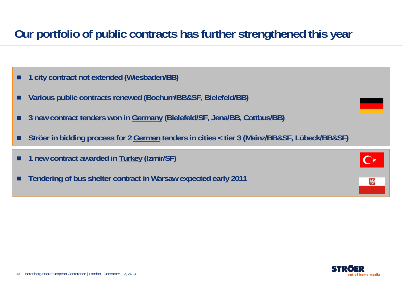### **Our portfolio of public contracts has further strengthened this year**

- п **1 city contract not extended (Wiesbaden/BB)**
- П **Various public contracts renewed (Bochum/BB&SF, Bielefeld/BB)**
- п **3 new contract tenders won in Germany (Bielefeld/SF, Jena/BB, Cottbus/BB)**
- П **Ströer in bidding process for 2 German tenders in cities < tier 3 (Mainz/BB&SF, Lübeck/BB&SF)**

|  | 1 new contract awarded in Turkey (Izmir/SF) |  |  |  |
|--|---------------------------------------------|--|--|--|
|--|---------------------------------------------|--|--|--|

п **Tendering of bus shelter contract in Warsaw expected early 2011** 

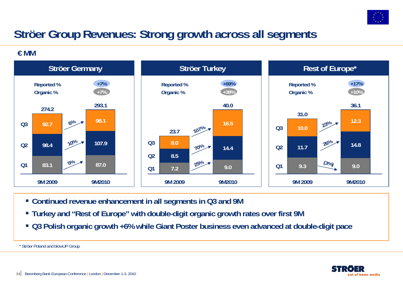

### **Ströer Group Revenues: Strong growth across all segments**

**€ MM**



- **Continued revenue enhancement in all segments in Q3 and 9M**
- **Turkey and "Rest of Europe" with double-digit organic growth rates over first 9M**
- **Q3 Polish organic growth +6% while Giant Poster business even advanced at double-digit pace**

\* Ströer Poland and blowUP Group

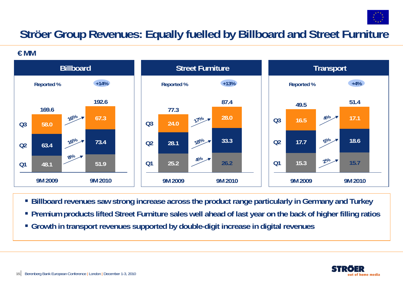

### **Ströer Group Revenues: Equally fuelled by Billboard and Street Furniture**

**€ MM**



- **Billboard revenues saw strong increase across the product range particularly in Germany and Turkey**
- **Premium products lifted Street Furniture sales well ahead of last year on the back of higher filling ratios**
- **Growth in transport revenues supported by double-digit increase in digital revenues**

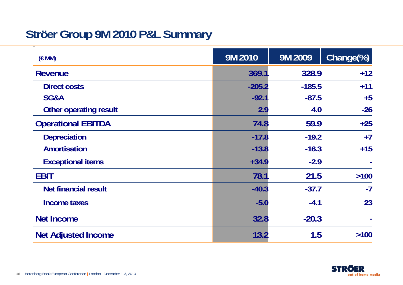### **Ströer Group 9M 2010 P&L Summary**

| (EMM)                       | 9M 2010  | 9M 2009  | Change(%) |
|-----------------------------|----------|----------|-----------|
| <b>Revenue</b>              | 369.1    | 328.9    | $+12$     |
| <b>Direct costs</b>         | $-205.2$ | $-185.5$ | $+11$     |
| SG&A                        | $-92.1$  | $-87.5$  | $+5$      |
| Other operating result      | 2.9      | 4.0      | $-26$     |
| <b>Operational EBITDA</b>   | 74.8     | 59.9     | $+25$     |
| <b>Depreciation</b>         | $-17.8$  | $-19.2$  | $+7$      |
| <b>Amortisation</b>         | $-13.8$  | $-16.3$  | $+15$     |
| <b>Exceptional items</b>    | $+34.9$  | $-2.9$   |           |
| <b>EBIT</b>                 | 78.1     | 21.5     | >100      |
| <b>Net financial result</b> | $-40.3$  | $-37.7$  | $-7$      |
| <b>Income taxes</b>         | $-5.0$   | $-4.1$   | 23        |
| <b>Net Income</b>           | 32.8     | $-20.3$  |           |
| <b>Net Adjusted Income</b>  | 13.2     | 1.5      | >100      |

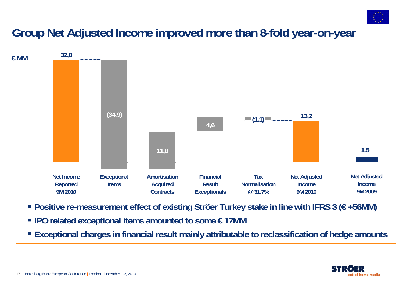

### **Group Net Adjusted Income improved more than 8-fold year-on-year**



- **Positive re-measurement effect of existing Ströer Turkey stake in line with IFRS 3 (€ +56MM)**
- **IPO related exceptional items amounted to some € 17MM**
- **Exceptional charges in financial result mainly attributable to reclassification of hedge amounts**

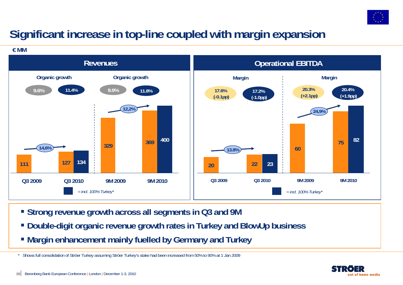

### **Significant increase in top-line coupled with margin expansion**

**€ MM**



- **Strong revenue growth across all segments in Q3 and 9M**
- **Double-digit organic revenue growth rates in Turkey and BlowUp business**
- **Margin enhancement mainly fuelled by Germany and Turkey**

\* Shows full consolidation of Ströer Turkey assuming Ströer Turkey's stake had been increased from 50% to 90% at 1 Jan 2009

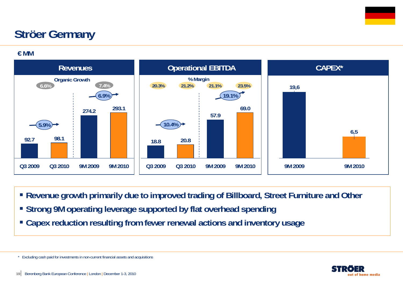### **Ströer Germany**

**€ MM**



- **Revenue growth primarily due to improved trading of Billboard, Street Furniture and Other**
- **Strong 9M operating leverage supported by flat overhead spending**
- **Capex reduction resulting from fewer renewal actions and inventory usage**

<sup>\*</sup> Excluding cash paid for investments in non-current financial assets and acquisitions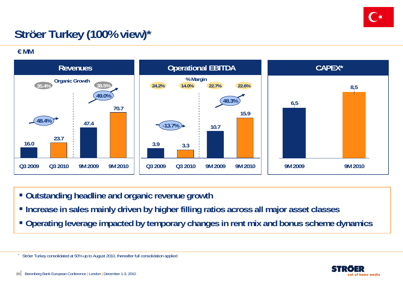

## **Ströer Turkey (100% view)\***

**€ MM**

\*



- **Outstanding headline and organic revenue growth**
- **Increase in sales mainly driven by higher filling ratios across all major asset classes**
- **Operating leverage impacted by temporary changes in rent mix and bonus scheme dynamics**

Ströer Turkey consolidated at 50% up to August 2010, thereafter full consolidation applied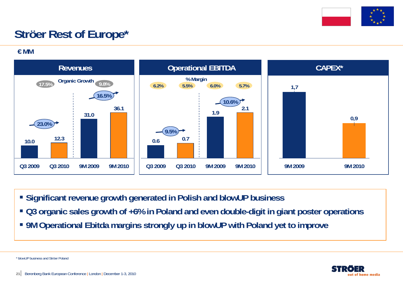

## **Ströer Rest of Europe\***

**€ MM**



- **Significant revenue growth generated in Polish and blowUP business**
- **Q3 organic sales growth of +6% in Poland and even double-digit in giant poster operations**
- **9M Operational Ebitda margins strongly up in blowUP with Poland yet to improve**

\* blowUP business and Ströer Poland

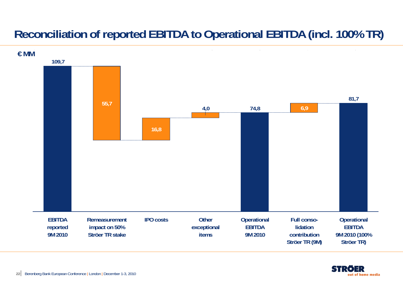### **Reconciliation of reported EBITDA to Operational EBITDA (incl. 100% TR)**



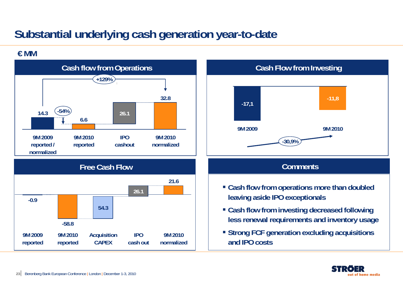### **Substantial underlying cash generation year-to-date**

### **€ MM**



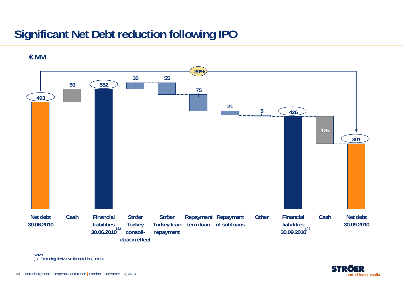### **Significant Net Debt reduction following IPO**



**€ MM**

Notes (1) Excluding derivative financial instruments

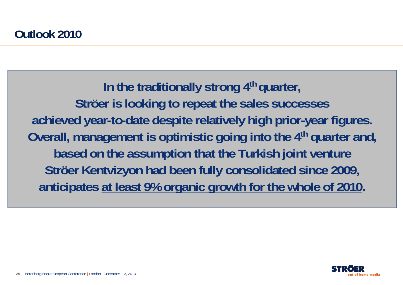In the traditionally strong 4<sup>th</sup> quarter, **Ströer is looking to repeat the sales successes achieved year-to-date despite relatively high prior-year figures. Overall, management is optimistic going into the 4th quarter and, based on the assumption that the Turkish joint venture Ströer Kentvizyon had been fully consolidated since 2009, anticipates at least 9% organic growth for the whole of 2010.**